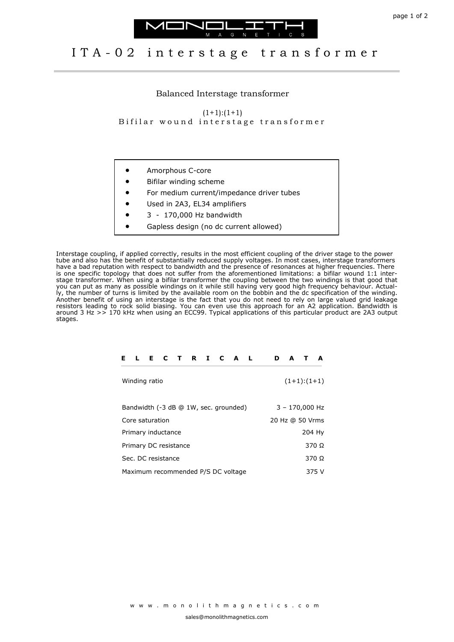



## I T A - 0 2 interstage transformer

Balanced Interstage transformer

 $(1+1):(1+1)$ Bifilar wound interstage transformer

- Amorphous C-core
- Bifilar winding scheme
- For medium current/impedance driver tubes
- Used in 2A3, EL34 amplifiers
- 3 170,000 Hz bandwidth
- Gapless design (no dc current allowed)

Interstage coupling, if applied correctly, results in the most efficient coupling of the driver stage to the power tube and also has the benefit of substantially reduced supply voltages. In most cases, interstage transformers have a bad reputation with respect to bandwidth and the presence of resonances at higher frequencies. There is one specific topology that does not suffer from the aforementioned limitations: a bifilar wound 1:1 interstage transformer. When using a bifilar transformer the coupling between the two windings is that good that you can put as many as possible windings on it while still having very good high frequency behaviour. Actually, the number of turns is limited by the available room on the bobbin and the dc specification of the winding. Another benefit of using an interstage is the fact that you do not need to rely on large valued grid leakage resistors leading to rock solid biasing. You can even use this approach for an A2 application. Bandwidth is around 3 Hz >> 170 kHz when using an ECC99. Typical applications of this particular product are 2A3 output stages.

| Е.                                 | $\mathbf{L}$    |  | ECTRICAL                              |  |  |       |              |  | D | A                |  | A            |
|------------------------------------|-----------------|--|---------------------------------------|--|--|-------|--------------|--|---|------------------|--|--------------|
|                                    | Winding ratio   |  |                                       |  |  |       |              |  |   | $(1+1):(1+1)$    |  |              |
|                                    |                 |  | Bandwidth (-3 dB @ 1W, sec. grounded) |  |  |       |              |  |   | $3 - 170,000$ Hz |  |              |
|                                    | Core saturation |  |                                       |  |  |       |              |  |   | 20 Hz @ 50 Vrms  |  |              |
|                                    |                 |  | Primary inductance                    |  |  |       |              |  |   |                  |  | 204 Hy       |
|                                    |                 |  | Primary DC resistance                 |  |  |       |              |  |   |                  |  | 370 $\Omega$ |
| Sec. DC resistance                 |                 |  |                                       |  |  |       | 370 $\Omega$ |  |   |                  |  |              |
| Maximum recommended P/S DC voltage |                 |  |                                       |  |  | 375 V |              |  |   |                  |  |              |